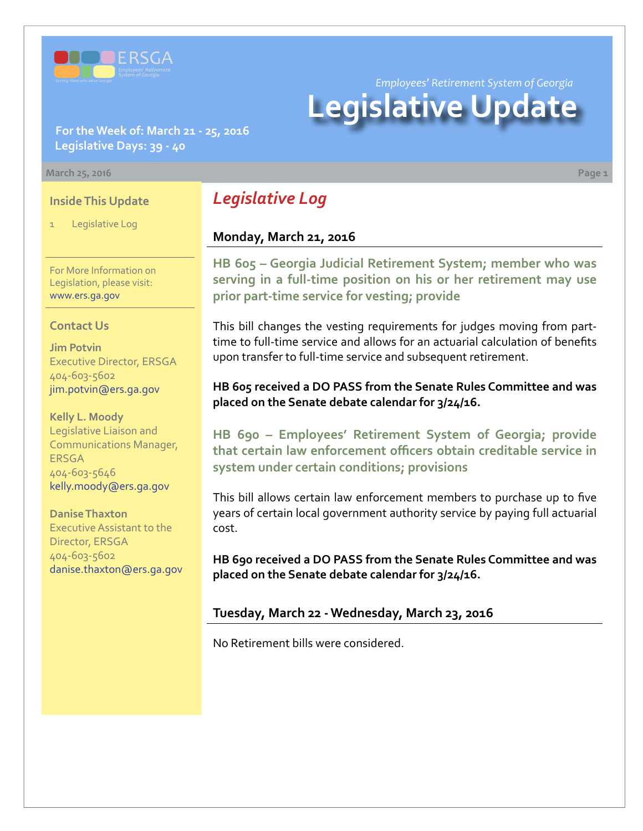

*Employees' Retirement System of Georgia*

# **Legislative Update**

### **For the Week of: March 21 - 25, 2016 Legislative Days: 39 - 40**

#### **March 25, 2016 Page 1**

#### **Inside This Update**

Legislative Log

For More Information on Legislation, please visit: [www.ers.ga.gov](http://www.ers.ga.gov/default.aspx)

#### **Contact Us**

**Jim Potvin** Executive Director, ERSGA 404-603-5602 jim.potvin@ers.ga.gov

**Kelly L. Moody** Legislative Liaison and Communications Manager, ERSGA 404-603-5646 kelly.moody@ers.ga.gov

**Danise Thaxton** Executive Assistant to the Director, ERSGA 404-603-5602 danise.thaxton@ers.ga.gov

# *Legislative Log*

## **Monday, March 21, 2016**

**HB [605 –](http://www.legis.ga.gov/legislation/en-US/Display/20152016/HB/605) Georgia Judicial Retirement System; member who was serving in a full-time position on his or her retirement may use prior part-time service for vesting; provide**

This bill changes the vesting requirements for judges moving from parttime to full-time service and allows for an actuarial calculation of benefits upon transfer to full-time service and subsequent retirement.

#### **HB 605 received a DO PASS from the Senate Rules Committee and was placed on the Senate debate calendar for 3/24/16.**

**HB [690 – E](http://www.legis.ga.gov/legislation/en-US/Display/20152016/HB/690)mployees' Retirement System of Georgia; provide that certain law enforcement officers obtain creditable service in system under certain conditions; provisions**

This bill allows certain law enforcement members to purchase up to five years of certain local government authority service by paying full actuarial cost.

**HB 690 received a DO PASS from the Senate Rules Committee and was placed on the Senate debate calendar for 3/24/16.**

#### **Tuesday, March 22 - Wednesday, March 23, 2016**

No Retirement bills were considered.